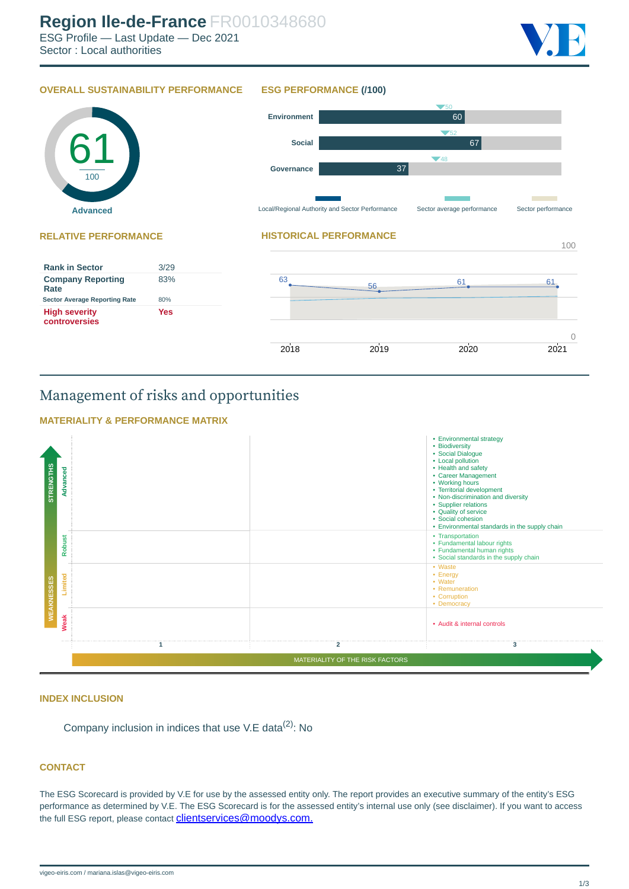#### **OVERALL SUSTAINABILITY PERFORMANCE ESG PERFORMANCE (/100)**



## Management of risks and opportunities



#### **INDEX INCLUSION**

Company inclusion in indices that use V.E data $(2)$ : No

### **CONTACT**

The ESG Scorecard is provided by V.E for use by the assessed entity only. The report provides an executive summary of the entity's ESG performance as determined by V.E. The ESG Scorecard is for the assessed entity's internal use only (see disclaimer). If you want to access the full ESG report, please contact **[clientservices@moodys.com.](mailto:clientservices@moodys.com)**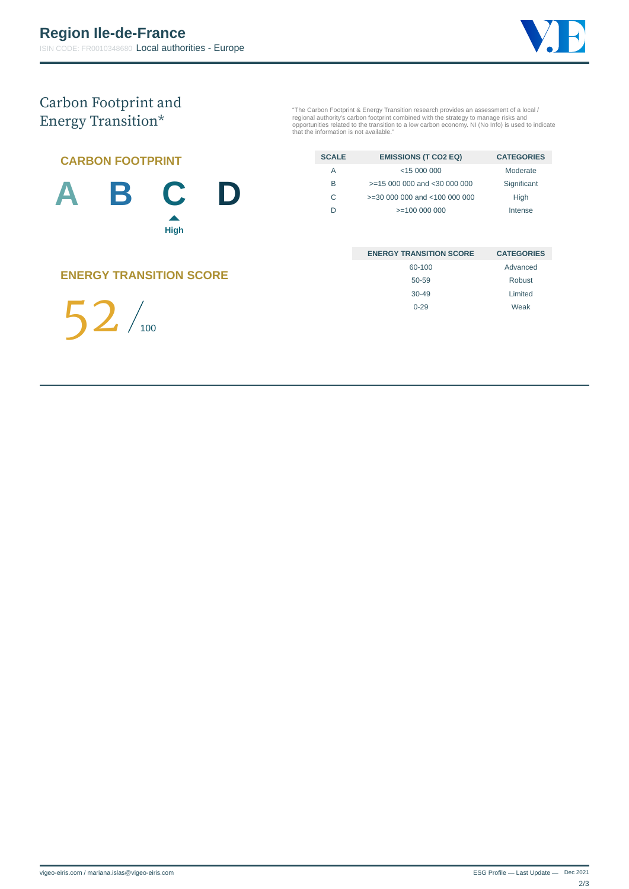

# Carbon Footprint and Energy Transition\*

"The Carbon Footprint & Energy Transition research provides an assessment of a local /<br>regional authority's carbon footprint combined with the strategy to manage risks and<br>opportunities related to the transition to a low c

| <b>CARBON FOOTPRINT</b> |  |  |   |  |
|-------------------------|--|--|---|--|
| $\Delta$                |  |  | D |  |

| <b>SCALE</b> | <b>EMISSIONS (T CO2 EQ)</b>      | <b>CATEGORIES</b> |
|--------------|----------------------------------|-------------------|
| А            | $<$ 15 000 000                   | Moderate          |
| R            | $>=$ 15 000 000 and < 30 000 000 | Significant       |
| C            | >=30 000 000 and <100 000 000    | High              |
| D            | $>=100000000$                    | Intense           |
|              |                                  |                   |

| <b>ENERGY TRANSITION SCORE</b> | <b>CATEGORIES</b> |
|--------------------------------|-------------------|
| 60-100                         | Advanced          |
| 50-59                          | Robust            |
| $30 - 49$                      | Limited           |
| $0 - 29$                       | Weak              |

**ENERGY TRANSITION SCORE**

**High**

▲